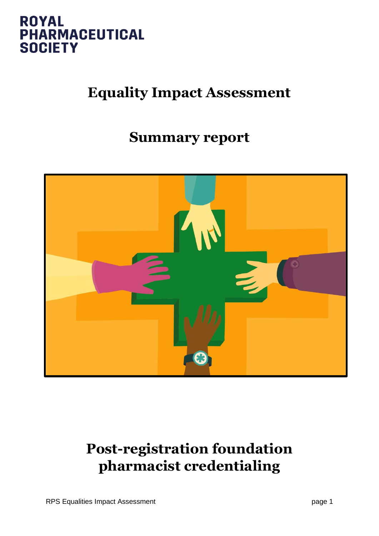

## **Equality Impact Assessment**

## **Summary report**



## **Post-registration foundation pharmacist credentialing**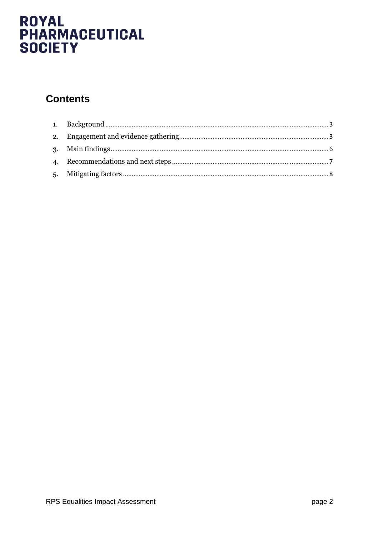### **Contents**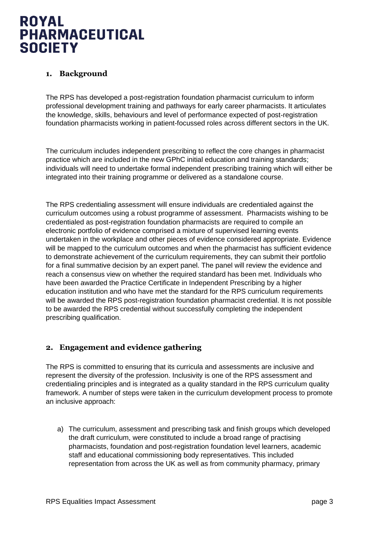### <span id="page-2-0"></span>**1. Background**

The RPS has developed a post-registration foundation pharmacist curriculum to inform professional development training and pathways for early career pharmacists. It articulates the knowledge, skills, behaviours and level of performance expected of post-registration foundation pharmacists working in patient-focussed roles across different sectors in the UK.

The curriculum includes independent prescribing to reflect the core changes in pharmacist practice which are included in the new GPhC initial education and training standards; individuals will need to undertake formal independent prescribing training which will either be integrated into their training programme or delivered as a standalone course.

The RPS credentialing assessment will ensure individuals are credentialed against the curriculum outcomes using a robust programme of assessment. Pharmacists wishing to be credentialed as post-registration foundation pharmacists are required to compile an electronic portfolio of evidence comprised a mixture of supervised learning events undertaken in the workplace and other pieces of evidence considered appropriate. Evidence will be mapped to the curriculum outcomes and when the pharmacist has sufficient evidence to demonstrate achievement of the curriculum requirements, they can submit their portfolio for a final summative decision by an expert panel. The panel will review the evidence and reach a consensus view on whether the required standard has been met. Individuals who have been awarded the Practice Certificate in Independent Prescribing by a higher education institution and who have met the standard for the RPS curriculum requirements will be awarded the RPS post-registration foundation pharmacist credential. It is not possible to be awarded the RPS credential without successfully completing the independent prescribing qualification.

#### <span id="page-2-1"></span>**2. Engagement and evidence gathering**

The RPS is committed to ensuring that its curricula and assessments are inclusive and represent the diversity of the profession. Inclusivity is one of the RPS assessment and credentialing principles and is integrated as a quality standard in the RPS curriculum quality framework. A number of steps were taken in the curriculum development process to promote an inclusive approach:

a) The curriculum, assessment and prescribing task and finish groups which developed the draft curriculum, were constituted to include a broad range of practising pharmacists, foundation and post-registration foundation level learners, academic staff and educational commissioning body representatives. This included representation from across the UK as well as from community pharmacy, primary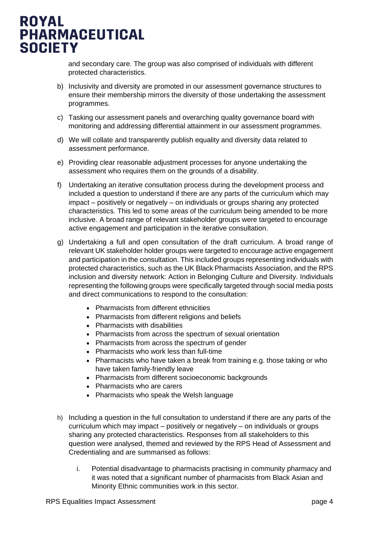

and secondary care. The group was also comprised of individuals with different protected characteristics.

- b) Inclusivity and diversity are promoted in our assessment governance structures to ensure their membership mirrors the diversity of those undertaking the assessment programmes.
- c) Tasking our assessment panels and overarching quality governance board with monitoring and addressing differential attainment in our assessment programmes.
- d) We will collate and transparently publish equality and diversity data related to assessment performance.
- e) Providing clear reasonable adjustment processes for anyone undertaking the assessment who requires them on the grounds of a disability.
- f) Undertaking an iterative consultation process during the development process and included a question to understand if there are any parts of the curriculum which may impact – positively or negatively – on individuals or groups sharing any protected characteristics. This led to some areas of the curriculum being amended to be more inclusive. A broad range of relevant stakeholder groups were targeted to encourage active engagement and participation in the iterative consultation.
- g) Undertaking a full and open consultation of the draft curriculum. A broad range of relevant UK stakeholder holder groups were targeted to encourage active engagement and participation in the consultation. This included groups representing individuals with protected characteristics, such as the UK Black Pharmacists Association, and the RPS inclusion and diversity network: Action in Belonging Culture and Diversity. Individuals representing the following groups were specifically targeted through social media posts and direct communications to respond to the consultation:
	- Pharmacists from different ethnicities
	- Pharmacists from different religions and beliefs
	- Pharmacists with disabilities
	- Pharmacists from across the spectrum of sexual orientation
	- Pharmacists from across the spectrum of gender
	- Pharmacists who work less than full-time
	- Pharmacists who have taken a break from training e.g. those taking or who have taken family-friendly leave
	- Pharmacists from different socioeconomic backgrounds
	- Pharmacists who are carers
	- Pharmacists who speak the Welsh language
- h) Including a question in the full consultation to understand if there are any parts of the curriculum which may impact – positively or negatively – on individuals or groups sharing any protected characteristics. Responses from all stakeholders to this question were analysed, themed and reviewed by the RPS Head of Assessment and Credentialing and are summarised as follows:
	- i. Potential disadvantage to pharmacists practising in community pharmacy and it was noted that a significant number of pharmacists from Black Asian and Minority Ethnic communities work in this sector.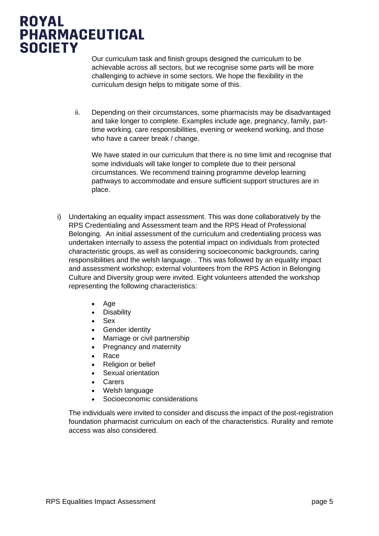Our curriculum task and finish groups designed the curriculum to be achievable across all sectors, but we recognise some parts will be more challenging to achieve in some sectors. We hope the flexibility in the curriculum design helps to mitigate some of this.

ii. Depending on their circumstances, some pharmacists may be disadvantaged and take longer to complete. Examples include age, pregnancy, family, parttime working, care responsibilities, evening or weekend working, and those who have a career break / change.

We have stated in our curriculum that there is no time limit and recognise that some individuals will take longer to complete due to their personal circumstances. We recommend training programme develop learning pathways to accommodate and ensure sufficient support structures are in place.

- i) Undertaking an equality impact assessment. This was done collaboratively by the RPS Credentialing and Assessment team and the RPS Head of Professional Belonging. An initial assessment of the curriculum and credentialing process was undertaken internally to assess the potential impact on individuals from protected characteristic groups, as well as considering socioeconomic backgrounds, caring responsibilities and the welsh language. . This was followed by an equality impact and assessment workshop; external volunteers from the RPS Action in Belonging Culture and Diversity group were invited. Eight volunteers attended the workshop representing the following characteristics:
	- Age
	- Disability
	- Sex
	- Gender identity
	- Marriage or civil partnership
	- Pregnancy and maternity
	- Race
	- Religion or belief
	- Sexual orientation
	- Carers
	- Welsh language
	- Socioeconomic considerations

The individuals were invited to consider and discuss the impact of the post-registration foundation pharmacist curriculum on each of the characteristics. Rurality and remote access was also considered.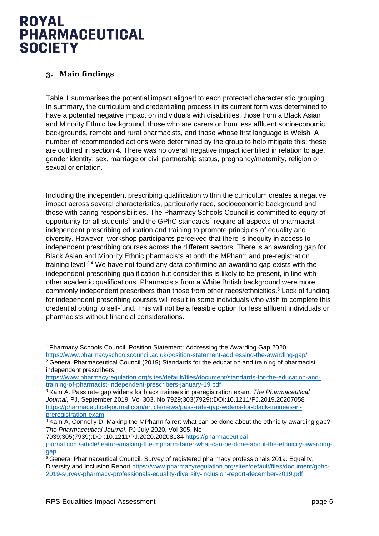### <span id="page-5-0"></span>**3. Main findings**

Table 1 summarises the potential impact aligned to each protected characteristic grouping. In summary, the curriculum and credentialing process in its current form was determined to have a potential negative impact on individuals with disabilities, those from a Black Asian and Minority Ethnic background, those who are carers or from less affluent socioeconomic backgrounds, remote and rural pharmacists, and those whose first language is Welsh. A number of recommended actions were determined by the group to help mitigate this; these are outlined in section 4. There was no overall negative impact identified in relation to age, gender identity, sex, marriage or civil partnership status, pregnancy/maternity, religion or sexual orientation.

Including the independent prescribing qualification within the curriculum creates a negative impact across several characteristics, particularly race, socioeconomic background and those with caring responsibilities. The Pharmacy Schools Council is committed to equity of opportunity for all students<sup>1</sup> and the GPhC standards<sup>2</sup> require all aspects of pharmacist independent prescribing education and training to promote principles of equality and diversity. However, workshop participants perceived that there is inequity in access to independent prescribing courses across the different sectors. There is an awarding gap for Black Asian and Minority Ethnic pharmacists at both the MPharm and pre-registration training level.<sup>3,4</sup> We have not found any data confirming an awarding gap exists with the independent prescribing qualification but consider this is likely to be present, in line with other academic qualifications. Pharmacists from a White British background were more commonly independent prescribers than those from other races/ethnicities. <sup>5</sup> Lack of funding for independent prescribing courses will result in some individuals who wish to complete this credential opting to self-fund. This will not be a feasible option for less affluent individuals or pharmacists without financial considerations.

7939;305(7939):DOI:10.1211/PJ.2020.20208184 [https://pharmaceutical](https://pharmaceutical-journal.com/article/feature/making-the-mpharm-fairer-what-can-be-done-about-the-ethnicity-awarding-gap)[journal.com/article/feature/making-the-mpharm-fairer-what-can-be-done-about-the-ethnicity-awarding](https://pharmaceutical-journal.com/article/feature/making-the-mpharm-fairer-what-can-be-done-about-the-ethnicity-awarding-gap)[gap](https://pharmaceutical-journal.com/article/feature/making-the-mpharm-fairer-what-can-be-done-about-the-ethnicity-awarding-gap)

<sup>1</sup> Pharmacy Schools Council. Position Statement: Addressing the Awarding Gap 2020 <https://www.pharmacyschoolscouncil.ac.uk/position-statement-addressing-the-awarding-gap/>

<sup>&</sup>lt;sup>2</sup> General Pharmaceutical Council (2019) Standards for the education and training of pharmacist independent prescribers

[https://www.pharmacyregulation.org/sites/default/files/document/standards-for-the-education-and](https://www.pharmacyregulation.org/sites/default/files/document/standards-for-the-education-and-training-of-pharmacist-independent-prescribers-january-19.pdf)[training-of-pharmacist-independent-prescribers-january-19.pdf](https://www.pharmacyregulation.org/sites/default/files/document/standards-for-the-education-and-training-of-pharmacist-independent-prescribers-january-19.pdf)

<sup>3</sup> Kam A. Pass rate gap widens for black trainees in preregistration exam. *The Pharmaceutical Journal*, PJ, September 2019, Vol 303, No 7929;303(7929):DOI:10.1211/PJ.2019.20207058 [https://pharmaceutical-journal.com/article/news/pass-rate-gap-widens-for-black-trainees-in](https://pharmaceutical-journal.com/article/news/pass-rate-gap-widens-for-black-trainees-in-preregistration-exam)[preregistration-exam](https://pharmaceutical-journal.com/article/news/pass-rate-gap-widens-for-black-trainees-in-preregistration-exam)

<sup>4</sup> Kam A, Connelly D. Making the MPharm fairer: what can be done about the ethnicity awarding gap? *The Pharmaceutical Journal*, PJ July 2020, Vol 305, No

<sup>&</sup>lt;sup>5</sup> General Pharmaceutical Council. Survey of registered pharmacy professionals 2019. Equality, Diversity and Inclusion Report [https://www.pharmacyregulation.org/sites/default/files/document/gphc-](https://www.pharmacyregulation.org/sites/default/files/document/gphc-2019-survey-pharmacy-professionals-equality-diversity-inclusion-report-december-2019.pdf)[2019-survey-pharmacy-professionals-equality-diversity-inclusion-report-december-2019.pdf](https://www.pharmacyregulation.org/sites/default/files/document/gphc-2019-survey-pharmacy-professionals-equality-diversity-inclusion-report-december-2019.pdf)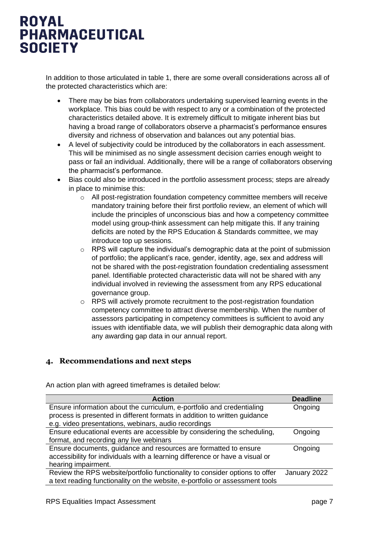In addition to those articulated in table 1, there are some overall considerations across all of the protected characteristics which are:

- There may be bias from collaborators undertaking supervised learning events in the workplace. This bias could be with respect to any or a combination of the protected characteristics detailed above. It is extremely difficult to mitigate inherent bias but having a broad range of collaborators observe a pharmacist's performance ensures diversity and richness of observation and balances out any potential bias.
- A level of subjectivity could be introduced by the collaborators in each assessment. This will be minimised as no single assessment decision carries enough weight to pass or fail an individual. Additionally, there will be a range of collaborators observing the pharmacist's performance.
- Bias could also be introduced in the portfolio assessment process; steps are already in place to minimise this:
	- $\circ$  All post-registration foundation competency committee members will receive mandatory training before their first portfolio review, an element of which will include the principles of unconscious bias and how a competency committee model using group-think assessment can help mitigate this. If any training deficits are noted by the RPS Education & Standards committee, we may introduce top up sessions.
	- o RPS will capture the individual's demographic data at the point of submission of portfolio; the applicant's race, gender, identity, age, sex and address will not be shared with the post-registration foundation credentialing assessment panel. Identifiable protected characteristic data will not be shared with any individual involved in reviewing the assessment from any RPS educational governance group.
	- $\circ$  RPS will actively promote recruitment to the post-registration foundation competency committee to attract diverse membership. When the number of assessors participating in competency committees is sufficient to avoid any issues with identifiable data, we will publish their demographic data along with any awarding gap data in our annual report.

#### <span id="page-6-0"></span>**4. Recommendations and next steps**

| <b>Action</b>                                                                | <b>Deadline</b> |
|------------------------------------------------------------------------------|-----------------|
| Ensure information about the curriculum, e-portfolio and credentialing       | Ongoing         |
| process is presented in different formats in addition to written guidance    |                 |
| e.g. video presentations, webinars, audio recordings                         |                 |
| Ensure educational events are accessible by considering the scheduling,      | Ongoing         |
| format, and recording any live webinars                                      |                 |
| Ensure documents, guidance and resources are formatted to ensure             | Ongoing         |
| accessibility for individuals with a learning difference or have a visual or |                 |
| hearing impairment.                                                          |                 |
| Review the RPS website/portfolio functionality to consider options to offer  | January 2022    |
| a text reading functionality on the website, e-portfolio or assessment tools |                 |

An action plan with agreed timeframes is detailed below: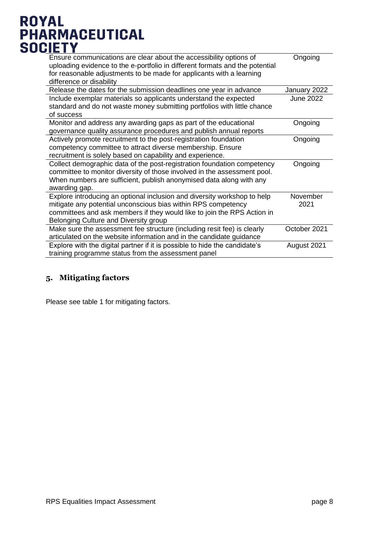| Ensure communications are clear about the accessibility options of<br>uploading evidence to the e-portfolio in different formats and the potential<br>for reasonable adjustments to be made for applicants with a learning<br>difference or disability        | Ongoing          |
|---------------------------------------------------------------------------------------------------------------------------------------------------------------------------------------------------------------------------------------------------------------|------------------|
| Release the dates for the submission deadlines one year in advance                                                                                                                                                                                            | January 2022     |
| Include exemplar materials so applicants understand the expected<br>standard and do not waste money submitting portfolios with little chance<br>of success                                                                                                    | June 2022        |
| Monitor and address any awarding gaps as part of the educational<br>governance quality assurance procedures and publish annual reports                                                                                                                        | Ongoing          |
| Actively promote recruitment to the post-registration foundation<br>competency committee to attract diverse membership. Ensure<br>recruitment is solely based on capability and experience.                                                                   | Ongoing          |
| Collect demographic data of the post-registration foundation competency<br>committee to monitor diversity of those involved in the assessment pool.<br>When numbers are sufficient, publish anonymised data along with any<br>awarding gap.                   | Ongoing          |
| Explore introducing an optional inclusion and diversity workshop to help<br>mitigate any potential unconscious bias within RPS competency<br>committees and ask members if they would like to join the RPS Action in<br>Belonging Culture and Diversity group | November<br>2021 |
| Make sure the assessment fee structure (including resit fee) is clearly<br>articulated on the website information and in the candidate guidance                                                                                                               | October 2021     |
| Explore with the digital partner if it is possible to hide the candidate's<br>training programme status from the assessment panel                                                                                                                             | August 2021      |

#### <span id="page-7-0"></span>**5. Mitigating factors**

Please see table 1 for mitigating factors.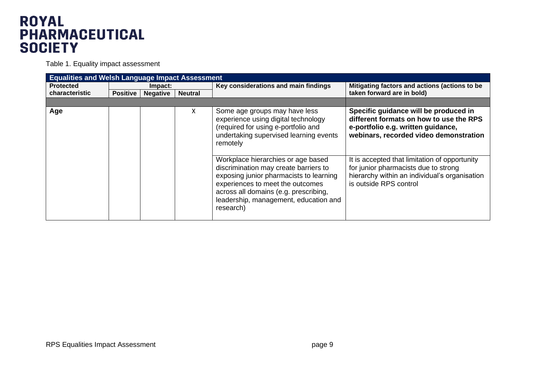Table 1. Equality impact assessment

| <b>Equalities and Welsh Language Impact Assessment</b> |                 |                 |                |                                                                                                                                                                                                                                                           |                                                                                                                                                                  |  |  |
|--------------------------------------------------------|-----------------|-----------------|----------------|-----------------------------------------------------------------------------------------------------------------------------------------------------------------------------------------------------------------------------------------------------------|------------------------------------------------------------------------------------------------------------------------------------------------------------------|--|--|
| <b>Protected</b>                                       | Impact:         |                 |                | Key considerations and main findings                                                                                                                                                                                                                      | Mitigating factors and actions (actions to be                                                                                                                    |  |  |
| <b>characteristic</b>                                  | <b>Positive</b> | <b>Negative</b> | <b>Neutral</b> |                                                                                                                                                                                                                                                           | taken forward are in bold)                                                                                                                                       |  |  |
|                                                        |                 |                 |                |                                                                                                                                                                                                                                                           |                                                                                                                                                                  |  |  |
| Age                                                    |                 |                 | X              | Some age groups may have less<br>experience using digital technology<br>(required for using e-portfolio and<br>undertaking supervised learning events<br>remotely                                                                                         | Specific guidance will be produced in<br>different formats on how to use the RPS<br>e-portfolio e.g. written guidance,<br>webinars, recorded video demonstration |  |  |
|                                                        |                 |                 |                | Workplace hierarchies or age based<br>discrimination may create barriers to<br>exposing junior pharmacists to learning<br>experiences to meet the outcomes<br>across all domains (e.g. prescribing,<br>leadership, management, education and<br>research) | It is accepted that limitation of opportunity<br>for junior pharmacists due to strong<br>hierarchy within an individual's organisation<br>is outside RPS control |  |  |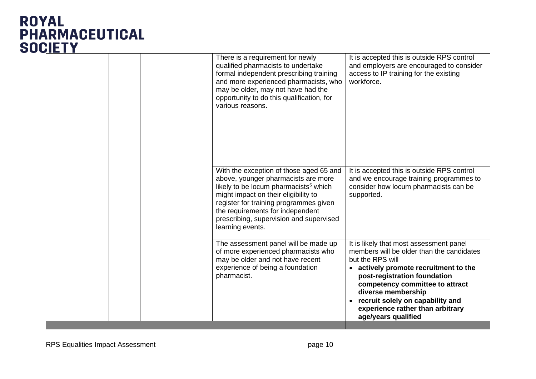|  | There is a requirement for newly<br>qualified pharmacists to undertake<br>formal independent prescribing training<br>and more experienced pharmacists, who<br>may be older, may not have had the<br>opportunity to do this qualification, for<br>various reasons.                                                        | It is accepted this is outside RPS control<br>and employers are encouraged to consider<br>access to IP training for the existing<br>workforce.                                                                                                                                                                                          |
|--|--------------------------------------------------------------------------------------------------------------------------------------------------------------------------------------------------------------------------------------------------------------------------------------------------------------------------|-----------------------------------------------------------------------------------------------------------------------------------------------------------------------------------------------------------------------------------------------------------------------------------------------------------------------------------------|
|  | With the exception of those aged 65 and<br>above, younger pharmacists are more<br>likely to be locum pharmacists <sup>5</sup> which<br>might impact on their eligibility to<br>register for training programmes given<br>the requirements for independent<br>prescribing, supervision and supervised<br>learning events. | It is accepted this is outside RPS control<br>and we encourage training programmes to<br>consider how locum pharmacists can be<br>supported.                                                                                                                                                                                            |
|  | The assessment panel will be made up<br>of more experienced pharmacists who<br>may be older and not have recent<br>experience of being a foundation<br>pharmacist.                                                                                                                                                       | It is likely that most assessment panel<br>members will be older than the candidates<br>but the RPS will<br>actively promote recruitment to the<br>post-registration foundation<br>competency committee to attract<br>diverse membership<br>recruit solely on capability and<br>experience rather than arbitrary<br>age/years qualified |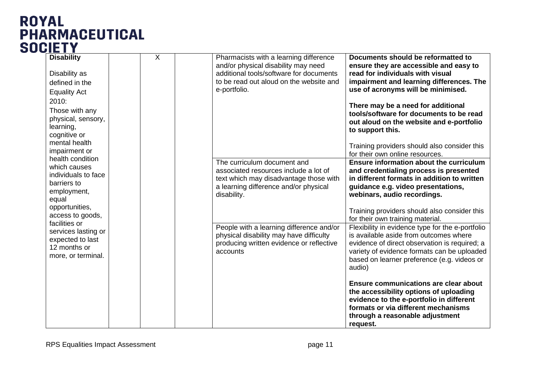| <b>Disability</b><br>Disability as<br>defined in the<br><b>Equality Act</b><br>2010:<br>Those with any<br>physical, sensory,<br>learning,<br>cognitive or | $\overline{X}$ | Pharmacists with a learning difference<br>and/or physical disability may need<br>additional tools/software for documents<br>to be read out aloud on the website and<br>e-portfolio. | Documents should be reformatted to<br>ensure they are accessible and easy to<br>read for individuals with visual<br>impairment and learning differences. The<br>use of acronyms will be minimised.<br>There may be a need for additional<br>tools/software for documents to be read<br>out aloud on the website and e-portfolio<br>to support this. |
|-----------------------------------------------------------------------------------------------------------------------------------------------------------|----------------|-------------------------------------------------------------------------------------------------------------------------------------------------------------------------------------|-----------------------------------------------------------------------------------------------------------------------------------------------------------------------------------------------------------------------------------------------------------------------------------------------------------------------------------------------------|
| mental health<br>impairment or                                                                                                                            |                |                                                                                                                                                                                     | Training providers should also consider this<br>for their own online resources.                                                                                                                                                                                                                                                                     |
| health condition<br>which causes<br>individuals to face<br>barriers to<br>employment,<br>equal<br>opportunities,                                          |                | The curriculum document and<br>associated resources include a lot of<br>text which may disadvantage those with<br>a learning difference and/or physical<br>disability.              | Ensure information about the curriculum<br>and credentialing process is presented<br>in different formats in addition to written<br>guidance e.g. video presentations,<br>webinars, audio recordings.                                                                                                                                               |
| access to goods,                                                                                                                                          |                |                                                                                                                                                                                     | Training providers should also consider this<br>for their own training material.                                                                                                                                                                                                                                                                    |
| facilities or<br>services lasting or<br>expected to last<br>12 months or<br>more, or terminal.                                                            |                | People with a learning difference and/or<br>physical disability may have difficulty<br>producing written evidence or reflective<br>accounts                                         | Flexibility in evidence type for the e-portfolio<br>is available aside from outcomes where<br>evidence of direct observation is required; a<br>variety of evidence formats can be uploaded<br>based on learner preference (e.g. videos or<br>audio)                                                                                                 |
|                                                                                                                                                           |                |                                                                                                                                                                                     | Ensure communications are clear about<br>the accessibility options of uploading<br>evidence to the e-portfolio in different<br>formats or via different mechanisms<br>through a reasonable adjustment<br>request.                                                                                                                                   |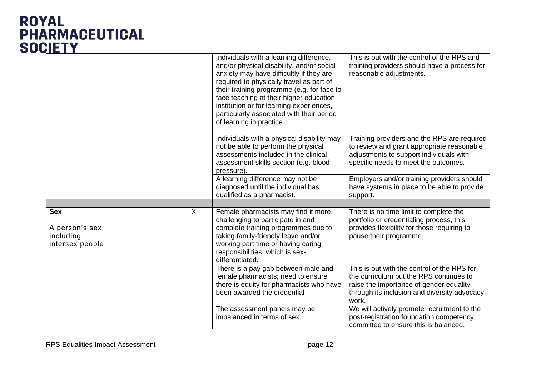|                                                               |              | Individuals with a learning difference,<br>and/or physical disability, and/or social<br>anxiety may have difficultly if they are<br>required to physically travel as part of<br>their training programme (e.g. for face to<br>face teaching at their higher education<br>institution or for learning experiences,<br>particularly associated with their period<br>of learning in practice | This is out with the control of the RPS and<br>training providers should have a process for<br>reasonable adjustments.                                                                     |
|---------------------------------------------------------------|--------------|-------------------------------------------------------------------------------------------------------------------------------------------------------------------------------------------------------------------------------------------------------------------------------------------------------------------------------------------------------------------------------------------|--------------------------------------------------------------------------------------------------------------------------------------------------------------------------------------------|
|                                                               |              | Individuals with a physical disability may<br>not be able to perform the physical<br>assessments included in the clinical<br>assessment skills section (e.g. blood<br>pressure).                                                                                                                                                                                                          | Training providers and the RPS are required<br>to review and grant appropriate reasonable<br>adjustments to support individuals with<br>specific needs to meet the outcomes.               |
|                                                               |              | A learning difference may not be<br>diagnosed until the individual has<br>qualified as a pharmacist.                                                                                                                                                                                                                                                                                      | Employers and/or training providers should<br>have systems in place to be able to provide<br>support.                                                                                      |
|                                                               |              |                                                                                                                                                                                                                                                                                                                                                                                           |                                                                                                                                                                                            |
| <b>Sex</b><br>A person's sex,<br>including<br>intersex people | $\mathsf{X}$ | Female pharmacists may find it more<br>challenging to participate in and<br>complete training programmes due to<br>taking family-friendly leave and/or<br>working part time or having caring<br>responsibilities, which is sex-<br>differentiated.                                                                                                                                        | There is no time limit to complete the<br>portfolio or credentialing process, this<br>provides flexibility for those requiring to<br>pause their programme.                                |
|                                                               |              | There is a pay gap between male and<br>female pharmacists; need to ensure<br>there is equity for pharmacists who have<br>been awarded the credential                                                                                                                                                                                                                                      | This is out with the control of the RPS for<br>the curriculum but the RPS continues to<br>raise the importance of gender equality<br>through its inclusion and diversity advocacy<br>work. |
|                                                               |              | The assessment panels may be<br>imbalanced in terms of sex                                                                                                                                                                                                                                                                                                                                | We will actively promote recruitment to the<br>post-registration foundation competency<br>committee to ensure this is balanced.                                                            |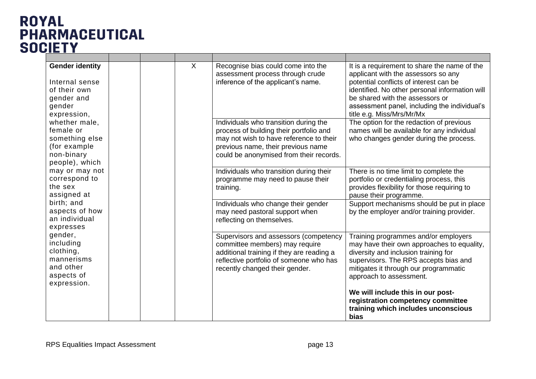| <b>Gender identity</b><br>Internal sense<br>of their own<br>gender and<br>gender<br>expression, |             |  |                                                                                                                                                                                                   |                                                                                                                                                                                                                                         | $\sf X$                                                                                                                          | Recognise bias could come into the<br>assessment process through crude<br>inference of the applicant's name. | It is a requirement to share the name of the<br>applicant with the assessors so any<br>potential conflicts of interest can be<br>identified. No other personal information will<br>be shared with the assessors or<br>assessment panel, including the individual's<br>title e.g. Miss/Mrs/Mr/Mx |                                                                                                                                                             |
|-------------------------------------------------------------------------------------------------|-------------|--|---------------------------------------------------------------------------------------------------------------------------------------------------------------------------------------------------|-----------------------------------------------------------------------------------------------------------------------------------------------------------------------------------------------------------------------------------------|----------------------------------------------------------------------------------------------------------------------------------|--------------------------------------------------------------------------------------------------------------|-------------------------------------------------------------------------------------------------------------------------------------------------------------------------------------------------------------------------------------------------------------------------------------------------|-------------------------------------------------------------------------------------------------------------------------------------------------------------|
| whether male,<br>female or<br>something else<br>(for example)<br>non-binary<br>people), which   | expression. |  |                                                                                                                                                                                                   | Individuals who transition during the<br>process of building their portfolio and<br>may not wish to have reference to their<br>previous name, their previous name<br>could be anonymised from their records.                            | The option for the redaction of previous<br>names will be available for any individual<br>who changes gender during the process. |                                                                                                              |                                                                                                                                                                                                                                                                                                 |                                                                                                                                                             |
| may or may not<br>correspond to<br>the sex<br>assigned at                                       |             |  |                                                                                                                                                                                                   |                                                                                                                                                                                                                                         |                                                                                                                                  |                                                                                                              | Individuals who transition during their<br>programme may need to pause their<br>training.                                                                                                                                                                                                       | There is no time limit to complete the<br>portfolio or credentialing process, this<br>provides flexibility for those requiring to<br>pause their programme. |
| birth; and<br>aspects of how<br>an individual<br>expresses                                      |             |  | Individuals who change their gender<br>may need pastoral support when<br>reflecting on themselves.                                                                                                | Support mechanisms should be put in place<br>by the employer and/or training provider.                                                                                                                                                  |                                                                                                                                  |                                                                                                              |                                                                                                                                                                                                                                                                                                 |                                                                                                                                                             |
| gender,<br>including<br>clothing,<br>mannerisms<br>and other<br>aspects of                      |             |  | Supervisors and assessors (competency<br>committee members) may require<br>additional training if they are reading a<br>reflective portfolio of someone who has<br>recently changed their gender. | Training programmes and/or employers<br>may have their own approaches to equality,<br>diversity and inclusion training for<br>supervisors. The RPS accepts bias and<br>mitigates it through our programmatic<br>approach to assessment. |                                                                                                                                  |                                                                                                              |                                                                                                                                                                                                                                                                                                 |                                                                                                                                                             |
|                                                                                                 |             |  |                                                                                                                                                                                                   |                                                                                                                                                                                                                                         | We will include this in our post-<br>registration competency committee<br>training which includes unconscious<br><b>bias</b>     |                                                                                                              |                                                                                                                                                                                                                                                                                                 |                                                                                                                                                             |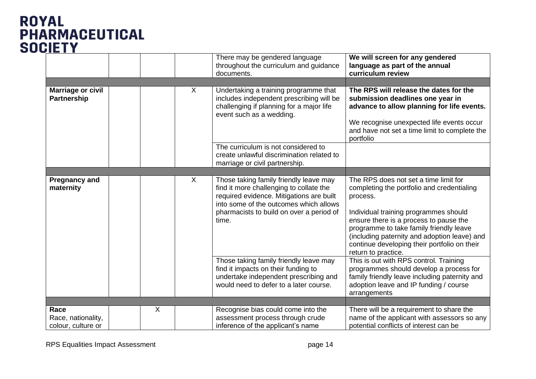|                                                |   |   | There may be gendered language<br>throughout the curriculum and guidance<br>documents.                                                                                                                                       | We will screen for any gendered<br>language as part of the annual<br>curriculum review                                                                                                                                                                                                                                                               |
|------------------------------------------------|---|---|------------------------------------------------------------------------------------------------------------------------------------------------------------------------------------------------------------------------------|------------------------------------------------------------------------------------------------------------------------------------------------------------------------------------------------------------------------------------------------------------------------------------------------------------------------------------------------------|
|                                                |   |   |                                                                                                                                                                                                                              |                                                                                                                                                                                                                                                                                                                                                      |
| <b>Marriage or civil</b><br><b>Partnership</b> |   | X | Undertaking a training programme that<br>includes independent prescribing will be<br>challenging if planning for a major life<br>event such as a wedding.                                                                    | The RPS will release the dates for the<br>submission deadlines one year in<br>advance to allow planning for life events.<br>We recognise unexpected life events occur<br>and have not set a time limit to complete the<br>portfolio                                                                                                                  |
|                                                |   |   | The curriculum is not considered to<br>create unlawful discrimination related to<br>marriage or civil partnership.                                                                                                           |                                                                                                                                                                                                                                                                                                                                                      |
|                                                |   |   |                                                                                                                                                                                                                              |                                                                                                                                                                                                                                                                                                                                                      |
| <b>Pregnancy and</b><br>maternity              |   | X | Those taking family friendly leave may<br>find it more challenging to collate the<br>required evidence. Mitigations are built<br>into some of the outcomes which allows<br>pharmacists to build on over a period of<br>time. | The RPS does not set a time limit for<br>completing the portfolio and credentialing<br>process.<br>Individual training programmes should<br>ensure there is a process to pause the<br>programme to take family friendly leave<br>(including paternity and adoption leave) and<br>continue developing their portfolio on their<br>return to practice. |
|                                                |   |   | Those taking family friendly leave may<br>find it impacts on their funding to<br>undertake independent prescribing and<br>would need to defer to a later course.                                                             | This is out with RPS control. Training<br>programmes should develop a process for<br>family friendly leave including paternity and<br>adoption leave and IP funding / course<br>arrangements                                                                                                                                                         |
| Race                                           | X |   |                                                                                                                                                                                                                              |                                                                                                                                                                                                                                                                                                                                                      |
| Race, nationality,<br>colour, culture or       |   |   | Recognise bias could come into the<br>assessment process through crude<br>inference of the applicant's name                                                                                                                  | There will be a requirement to share the<br>name of the applicant with assessors so any<br>potential conflicts of interest can be                                                                                                                                                                                                                    |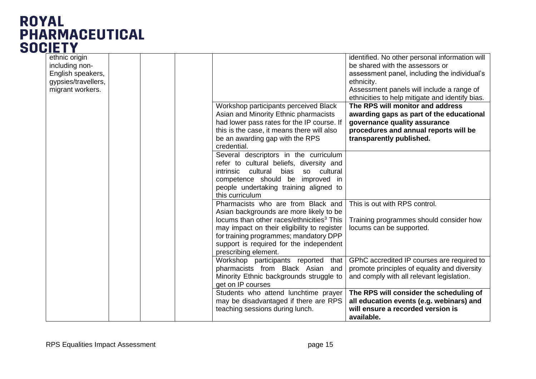| ethnic origin       |  |                                                        | identified. No other personal information will  |
|---------------------|--|--------------------------------------------------------|-------------------------------------------------|
| including non-      |  |                                                        | be shared with the assessors or                 |
| English speakers,   |  |                                                        | assessment panel, including the individual's    |
| gypsies/travellers, |  |                                                        | ethnicity.                                      |
| migrant workers.    |  |                                                        | Assessment panels will include a range of       |
|                     |  |                                                        | ethnicities to help mitigate and identify bias. |
|                     |  | Workshop participants perceived Black                  | The RPS will monitor and address                |
|                     |  | Asian and Minority Ethnic pharmacists                  | awarding gaps as part of the educational        |
|                     |  | had lower pass rates for the IP course. If             | governance quality assurance                    |
|                     |  | this is the case, it means there will also             | procedures and annual reports will be           |
|                     |  | be an awarding gap with the RPS                        | transparently published.                        |
|                     |  | credential.                                            |                                                 |
|                     |  | Several descriptors in the curriculum                  |                                                 |
|                     |  | refer to cultural beliefs, diversity and               |                                                 |
|                     |  | cultural<br>bias<br>cultural<br>intrinsic<br><b>SO</b> |                                                 |
|                     |  | competence should be improved in                       |                                                 |
|                     |  | people undertaking training aligned to                 |                                                 |
|                     |  | this curriculum                                        |                                                 |
|                     |  | Pharmacists who are from Black and                     | This is out with RPS control.                   |
|                     |  | Asian backgrounds are more likely to be                |                                                 |
|                     |  | locums than other races/ethnicities <sup>3</sup> This  | Training programmes should consider how         |
|                     |  | may impact on their eligibility to register            | locums can be supported.                        |
|                     |  | for training programmes; mandatory DPP                 |                                                 |
|                     |  | support is required for the independent                |                                                 |
|                     |  | prescribing element.                                   |                                                 |
|                     |  | Workshop participants reported that                    | GPhC accredited IP courses are required to      |
|                     |  | pharmacists from Black Asian and                       | promote principles of equality and diversity    |
|                     |  | Minority Ethnic backgrounds struggle to                | and comply with all relevant legislation.       |
|                     |  | get on IP courses                                      |                                                 |
|                     |  | Students who attend lunchtime prayer                   | The RPS will consider the scheduling of         |
|                     |  | may be disadvantaged if there are RPS                  | all education events (e.g. webinars) and        |
|                     |  | teaching sessions during lunch.                        | will ensure a recorded version is               |
|                     |  |                                                        | available.                                      |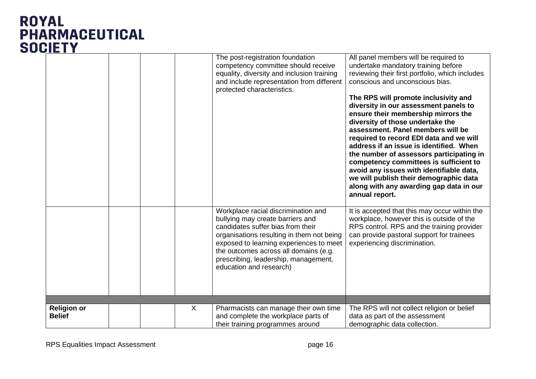|                                     |  |         | The post-registration foundation<br>competency committee should receive<br>equality, diversity and inclusion training<br>and include representation from different<br>protected characteristics.                                                                                                                 | All panel members will be required to<br>undertake mandatory training before<br>reviewing their first portfolio, which includes<br>conscious and unconscious bias.<br>The RPS will promote inclusivity and<br>diversity in our assessment panels to<br>ensure their membership mirrors the<br>diversity of those undertake the<br>assessment. Panel members will be<br>required to record EDI data and we will<br>address if an issue is identified. When<br>the number of assessors participating in<br>competency committees is sufficient to<br>avoid any issues with identifiable data,<br>we will publish their demographic data<br>along with any awarding gap data in our<br>annual report. |
|-------------------------------------|--|---------|------------------------------------------------------------------------------------------------------------------------------------------------------------------------------------------------------------------------------------------------------------------------------------------------------------------|----------------------------------------------------------------------------------------------------------------------------------------------------------------------------------------------------------------------------------------------------------------------------------------------------------------------------------------------------------------------------------------------------------------------------------------------------------------------------------------------------------------------------------------------------------------------------------------------------------------------------------------------------------------------------------------------------|
|                                     |  |         | Workplace racial discrimination and<br>bullying may create barriers and<br>candidates suffer bias from their<br>organisations resulting in them not being<br>exposed to learning experiences to meet<br>the outcomes across all domains (e.g.<br>prescribing, leadership, management,<br>education and research) | It is accepted that this may occur within the<br>workplace, however this is outside of the<br>RPS control. RPS and the training provider<br>can provide pastoral support for trainees<br>experiencing discrimination.                                                                                                                                                                                                                                                                                                                                                                                                                                                                              |
|                                     |  |         |                                                                                                                                                                                                                                                                                                                  |                                                                                                                                                                                                                                                                                                                                                                                                                                                                                                                                                                                                                                                                                                    |
| <b>Religion or</b><br><b>Belief</b> |  | $\sf X$ | Pharmacists can manage their own time<br>and complete the workplace parts of<br>their training programmes around                                                                                                                                                                                                 | The RPS will not collect religion or belief<br>data as part of the assessment<br>demographic data collection.                                                                                                                                                                                                                                                                                                                                                                                                                                                                                                                                                                                      |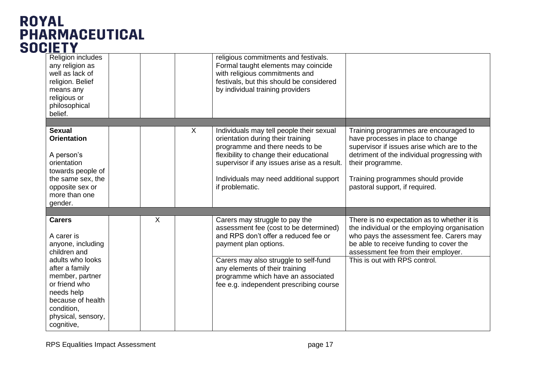# **ROYAL** PHARMACEUTICAL

| Religion includes<br>any religion as<br>well as lack of<br>religion. Belief<br>means any<br>religious or<br>philosophical<br>belief.                        |   |                | religious commitments and festivals.<br>Formal taught elements may coincide<br>with religious commitments and<br>festivals, but this should be considered<br>by individual training providers              |                                                                                                                                                                                                                          |
|-------------------------------------------------------------------------------------------------------------------------------------------------------------|---|----------------|------------------------------------------------------------------------------------------------------------------------------------------------------------------------------------------------------------|--------------------------------------------------------------------------------------------------------------------------------------------------------------------------------------------------------------------------|
|                                                                                                                                                             |   |                |                                                                                                                                                                                                            |                                                                                                                                                                                                                          |
| <b>Sexual</b><br><b>Orientation</b><br>A person's<br>orientation<br>towards people of                                                                       |   | $\overline{X}$ | Individuals may tell people their sexual<br>orientation during their training<br>programme and there needs to be<br>flexibility to change their educational<br>supervisor if any issues arise as a result. | Training programmes are encouraged to<br>have processes in place to change<br>supervisor if issues arise which are to the<br>detriment of the individual progressing with<br>their programme.                            |
| the same sex, the<br>opposite sex or<br>more than one<br>gender.                                                                                            |   |                | Individuals may need additional support<br>if problematic.                                                                                                                                                 | Training programmes should provide<br>pastoral support, if required.                                                                                                                                                     |
|                                                                                                                                                             |   |                |                                                                                                                                                                                                            |                                                                                                                                                                                                                          |
| <b>Carers</b><br>A carer is<br>anyone, including<br>children and                                                                                            | X |                | Carers may struggle to pay the<br>assessment fee (cost to be determined)<br>and RPS don't offer a reduced fee or<br>payment plan options.                                                                  | There is no expectation as to whether it is<br>the individual or the employing organisation<br>who pays the assessment fee. Carers may<br>be able to receive funding to cover the<br>assessment fee from their employer. |
| adults who looks<br>after a family<br>member, partner<br>or friend who<br>needs help<br>because of health<br>condition,<br>physical, sensory,<br>cognitive, |   |                | Carers may also struggle to self-fund<br>any elements of their training<br>programme which have an associated<br>fee e.g. independent prescribing course                                                   | This is out with RPS control.                                                                                                                                                                                            |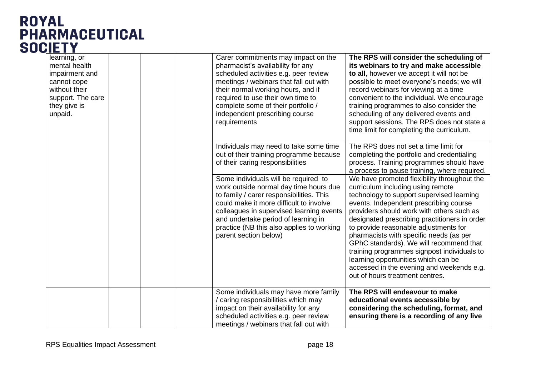| learning, or<br>mental health<br>impairment and<br>cannot cope<br>without their<br>support. The care<br>they give is<br>unpaid. |  | Carer commitments may impact on the<br>pharmacist's availability for any<br>scheduled activities e.g. peer review<br>meetings / webinars that fall out with<br>their normal working hours, and if<br>required to use their own time to<br>complete some of their portfolio /<br>independent prescribing course<br>requirements                                                                                                                          | The RPS will consider the scheduling of<br>its webinars to try and make accessible<br>to all, however we accept it will not be<br>possible to meet everyone's needs; we will<br>record webinars for viewing at a time<br>convenient to the individual. We encourage<br>training programmes to also consider the<br>scheduling of any delivered events and<br>support sessions. The RPS does not state a<br>time limit for completing the curriculum.                                                                                                                                                                                                                                                                                                          |
|---------------------------------------------------------------------------------------------------------------------------------|--|---------------------------------------------------------------------------------------------------------------------------------------------------------------------------------------------------------------------------------------------------------------------------------------------------------------------------------------------------------------------------------------------------------------------------------------------------------|---------------------------------------------------------------------------------------------------------------------------------------------------------------------------------------------------------------------------------------------------------------------------------------------------------------------------------------------------------------------------------------------------------------------------------------------------------------------------------------------------------------------------------------------------------------------------------------------------------------------------------------------------------------------------------------------------------------------------------------------------------------|
|                                                                                                                                 |  | Individuals may need to take some time<br>out of their training programme because<br>of their caring responsibilities<br>Some individuals will be required to<br>work outside normal day time hours due<br>to family / carer responsibilities. This<br>could make it more difficult to involve<br>colleagues in supervised learning events<br>and undertake period of learning in<br>practice (NB this also applies to working<br>parent section below) | The RPS does not set a time limit for<br>completing the portfolio and credentialing<br>process. Training programmes should have<br>a process to pause training, where required.<br>We have promoted flexibility throughout the<br>curriculum including using remote<br>technology to support supervised learning<br>events. Independent prescribing course<br>providers should work with others such as<br>designated prescribing practitioners in order<br>to provide reasonable adjustments for<br>pharmacists with specific needs (as per<br>GPhC standards). We will recommend that<br>training programmes signpost individuals to<br>learning opportunities which can be<br>accessed in the evening and weekends e.g.<br>out of hours treatment centres. |
|                                                                                                                                 |  | Some individuals may have more family<br>/ caring responsibilities which may<br>impact on their availability for any<br>scheduled activities e.g. peer review<br>meetings / webinars that fall out with                                                                                                                                                                                                                                                 | The RPS will endeavour to make<br>educational events accessible by<br>considering the scheduling, format, and<br>ensuring there is a recording of any live                                                                                                                                                                                                                                                                                                                                                                                                                                                                                                                                                                                                    |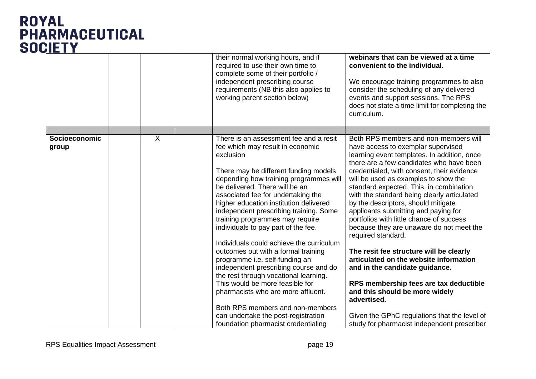|                        |                | their normal working hours, and if<br>required to use their own time to<br>complete some of their portfolio /<br>independent prescribing course<br>requirements (NB this also applies to<br>working parent section below)                                                    | webinars that can be viewed at a time<br>convenient to the individual.<br>We encourage training programmes to also<br>consider the scheduling of any delivered<br>events and support sessions. The RPS<br>does not state a time limit for completing the<br>curriculum.                                                     |
|------------------------|----------------|------------------------------------------------------------------------------------------------------------------------------------------------------------------------------------------------------------------------------------------------------------------------------|-----------------------------------------------------------------------------------------------------------------------------------------------------------------------------------------------------------------------------------------------------------------------------------------------------------------------------|
|                        |                |                                                                                                                                                                                                                                                                              |                                                                                                                                                                                                                                                                                                                             |
| Socioeconomic<br>group | $\overline{X}$ | There is an assessment fee and a resit<br>fee which may result in economic<br>exclusion<br>There may be different funding models                                                                                                                                             | Both RPS members and non-members will<br>have access to exemplar supervised<br>learning event templates. In addition, once<br>there are a few candidates who have been<br>credentialed, with consent, their evidence                                                                                                        |
|                        |                | depending how training programmes will<br>be delivered. There will be an<br>associated fee for undertaking the<br>higher education institution delivered<br>independent prescribing training. Some<br>training programmes may require<br>individuals to pay part of the fee. | will be used as examples to show the<br>standard expected. This, in combination<br>with the standard being clearly articulated<br>by the descriptors, should mitigate<br>applicants submitting and paying for<br>portfolios with little chance of success<br>because they are unaware do not meet the<br>required standard. |
|                        |                | Individuals could achieve the curriculum<br>outcomes out with a formal training<br>programme i.e. self-funding an<br>independent prescribing course and do<br>the rest through vocational learning.                                                                          | The resit fee structure will be clearly<br>articulated on the website information<br>and in the candidate guidance.                                                                                                                                                                                                         |
|                        |                | This would be more feasible for<br>pharmacists who are more affluent.                                                                                                                                                                                                        | RPS membership fees are tax deductible<br>and this should be more widely<br>advertised.                                                                                                                                                                                                                                     |
|                        |                | Both RPS members and non-members                                                                                                                                                                                                                                             |                                                                                                                                                                                                                                                                                                                             |
|                        |                | can undertake the post-registration<br>foundation pharmacist credentialing                                                                                                                                                                                                   | Given the GPhC regulations that the level of<br>study for pharmacist independent prescriber                                                                                                                                                                                                                                 |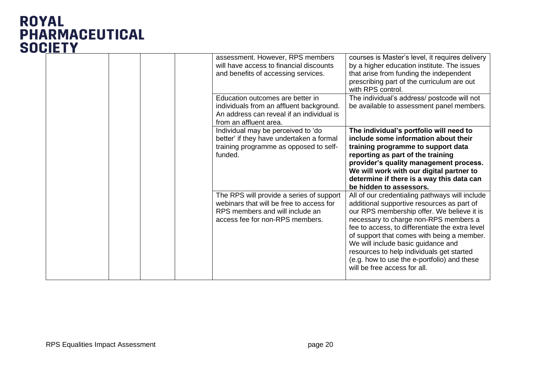|  |  | assessment. However, RPS members<br>will have access to financial discounts<br>and benefits of accessing services.<br>Education outcomes are better in<br>individuals from an affluent background.<br>An address can reveal if an individual is | courses is Master's level, it requires delivery<br>by a higher education institute. The issues<br>that arise from funding the independent<br>prescribing part of the curriculum are out<br>with RPS control.<br>The individual's address/ postcode will not<br>be available to assessment panel members.                                                                                                                                               |
|--|--|-------------------------------------------------------------------------------------------------------------------------------------------------------------------------------------------------------------------------------------------------|--------------------------------------------------------------------------------------------------------------------------------------------------------------------------------------------------------------------------------------------------------------------------------------------------------------------------------------------------------------------------------------------------------------------------------------------------------|
|  |  | from an affluent area.<br>Individual may be perceived to 'do<br>better' if they have undertaken a formal<br>training programme as opposed to self-<br>funded.                                                                                   | The individual's portfolio will need to<br>include some information about their<br>training programme to support data<br>reporting as part of the training<br>provider's quality management process.<br>We will work with our digital partner to<br>determine if there is a way this data can<br>be hidden to assessors.                                                                                                                               |
|  |  | The RPS will provide a series of support<br>webinars that will be free to access for<br>RPS members and will include an<br>access fee for non-RPS members.                                                                                      | All of our credentialing pathways will include<br>additional supportive resources as part of<br>our RPS membership offer. We believe it is<br>necessary to charge non-RPS members a<br>fee to access, to differentiate the extra level<br>of support that comes with being a member.<br>We will include basic guidance and<br>resources to help individuals get started<br>(e.g. how to use the e-portfolio) and these<br>will be free access for all. |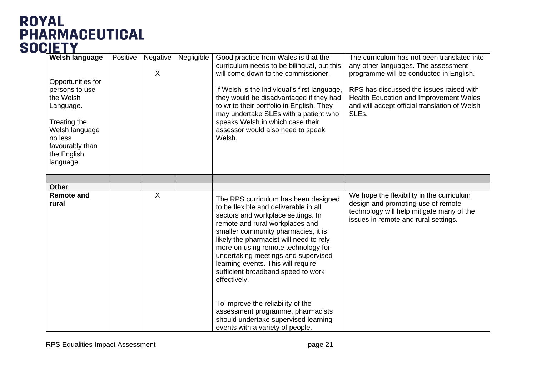| <b>Welsh language</b><br>Opportunities for<br>persons to use<br>the Welsh<br>Language.<br>Treating the<br>Welsh language<br>no less<br>favourably than<br>the English<br>language. | Positive | Negative<br>X | Negligible | Good practice from Wales is that the<br>curriculum needs to be bilingual, but this<br>will come down to the commissioner.<br>If Welsh is the individual's first language,<br>they would be disadvantaged if they had<br>to write their portfolio in English. They<br>may undertake SLEs with a patient who<br>speaks Welsh in which case their<br>assessor would also need to speak<br>Welsh.                                                                                                                                        | The curriculum has not been translated into<br>any other languages. The assessment<br>programme will be conducted in English.<br>RPS has discussed the issues raised with<br>Health Education and Improvement Wales<br>and will accept official translation of Welsh<br>SLEs. |
|------------------------------------------------------------------------------------------------------------------------------------------------------------------------------------|----------|---------------|------------|--------------------------------------------------------------------------------------------------------------------------------------------------------------------------------------------------------------------------------------------------------------------------------------------------------------------------------------------------------------------------------------------------------------------------------------------------------------------------------------------------------------------------------------|-------------------------------------------------------------------------------------------------------------------------------------------------------------------------------------------------------------------------------------------------------------------------------|
|                                                                                                                                                                                    |          |               |            |                                                                                                                                                                                                                                                                                                                                                                                                                                                                                                                                      |                                                                                                                                                                                                                                                                               |
| <b>Other</b>                                                                                                                                                                       |          |               |            |                                                                                                                                                                                                                                                                                                                                                                                                                                                                                                                                      |                                                                                                                                                                                                                                                                               |
| <b>Remote and</b><br>rural                                                                                                                                                         |          | X             |            | The RPS curriculum has been designed<br>to be flexible and deliverable in all<br>sectors and workplace settings. In<br>remote and rural workplaces and<br>smaller community pharmacies, it is<br>likely the pharmacist will need to rely<br>more on using remote technology for<br>undertaking meetings and supervised<br>learning events. This will require<br>sufficient broadband speed to work<br>effectively.<br>To improve the reliability of the<br>assessment programme, pharmacists<br>should undertake supervised learning | We hope the flexibility in the curriculum<br>design and promoting use of remote<br>technology will help mitigate many of the<br>issues in remote and rural settings.                                                                                                          |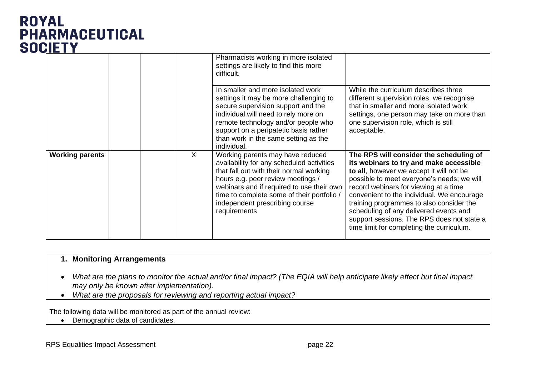|                        |  |   | Pharmacists working in more isolated<br>settings are likely to find this more<br>difficult.                                                                                                                                                                                                                |                                                                                                                                                                                                                                                                                                                                                                                                                                                      |
|------------------------|--|---|------------------------------------------------------------------------------------------------------------------------------------------------------------------------------------------------------------------------------------------------------------------------------------------------------------|------------------------------------------------------------------------------------------------------------------------------------------------------------------------------------------------------------------------------------------------------------------------------------------------------------------------------------------------------------------------------------------------------------------------------------------------------|
|                        |  |   | In smaller and more isolated work<br>settings it may be more challenging to<br>secure supervision support and the<br>individual will need to rely more on<br>remote technology and/or people who<br>support on a peripatetic basis rather<br>than work in the same setting as the<br>individual.           | While the curriculum describes three<br>different supervision roles, we recognise<br>that in smaller and more isolated work<br>settings, one person may take on more than<br>one supervision role, which is still<br>acceptable.                                                                                                                                                                                                                     |
| <b>Working parents</b> |  | X | Working parents may have reduced<br>availability for any scheduled activities<br>that fall out with their normal working<br>hours e.g. peer review meetings /<br>webinars and if required to use their own<br>time to complete some of their portfolio /<br>independent prescribing course<br>requirements | The RPS will consider the scheduling of<br>its webinars to try and make accessible<br>to all, however we accept it will not be<br>possible to meet everyone's needs; we will<br>record webinars for viewing at a time<br>convenient to the individual. We encourage<br>training programmes to also consider the<br>scheduling of any delivered events and<br>support sessions. The RPS does not state a<br>time limit for completing the curriculum. |

#### **1. Monitoring Arrangements**

- *What are the plans to monitor the actual and/or final impact? (The EQIA will help anticipate likely effect but final impact may only be known after implementation).*
- *What are the proposals for reviewing and reporting actual impact?*

The following data will be monitored as part of the annual review:

• Demographic data of candidates.